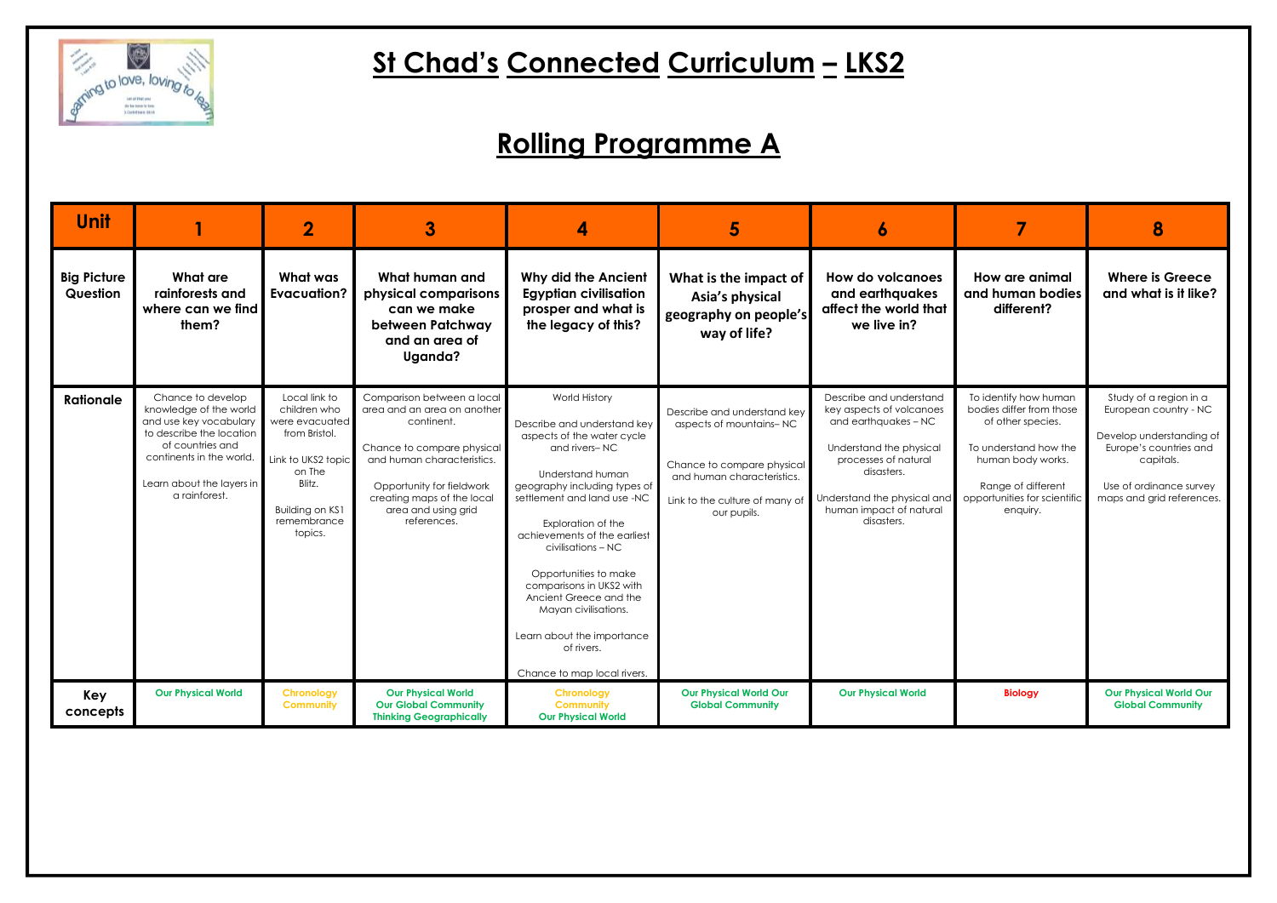

# **St Chad's Connected Curriculum – LKS2**

| <b>Unit</b>                    |                                                                                                                                                                                                 | $\overline{\mathbf{2}}$                                                                                                                                 | 3                                                                                                                                                                                                                                    | 4                                                                                                                                                                                                                                                                                                                                                                                                                                            | 5                                                                                                                                                                   | 6                                                                                                                                                                                                                    |                                                                                                                                                                                        | 8                                                                                                                                                                          |
|--------------------------------|-------------------------------------------------------------------------------------------------------------------------------------------------------------------------------------------------|---------------------------------------------------------------------------------------------------------------------------------------------------------|--------------------------------------------------------------------------------------------------------------------------------------------------------------------------------------------------------------------------------------|----------------------------------------------------------------------------------------------------------------------------------------------------------------------------------------------------------------------------------------------------------------------------------------------------------------------------------------------------------------------------------------------------------------------------------------------|---------------------------------------------------------------------------------------------------------------------------------------------------------------------|----------------------------------------------------------------------------------------------------------------------------------------------------------------------------------------------------------------------|----------------------------------------------------------------------------------------------------------------------------------------------------------------------------------------|----------------------------------------------------------------------------------------------------------------------------------------------------------------------------|
| <b>Big Picture</b><br>Question | What are<br>rainforests and<br>where can we find<br>them?                                                                                                                                       | What was<br><b>Evacuation?</b>                                                                                                                          | What human and<br>physical comparisons<br>can we make<br>between Patchway<br>and an area of<br>Uganda?                                                                                                                               | <b>Why did the Ancient</b><br><b>Egyptian civilisation</b><br>prosper and what is<br>the legacy of this?                                                                                                                                                                                                                                                                                                                                     | What is the impact of<br>Asia's physical<br>geography on people's<br>way of life?                                                                                   | <b>How do volcanoes</b><br>and earthquakes<br>affect the world that<br>we live in?                                                                                                                                   | How are animal<br>and human bodies<br>different?                                                                                                                                       | <b>Where is Greece</b><br>and what is it like?                                                                                                                             |
| <b>Rationale</b>               | Chance to develop<br>knowledge of the world<br>and use key vocabulary<br>to describe the location<br>of countries and<br>continents in the world.<br>Learn about the layers in<br>a rainforest. | Local link to<br>children who<br>were evacuated<br>from Bristol.<br>Link to UKS2 topic<br>on The<br>Blitz.<br>Building on KS1<br>remembrance<br>topics. | Comparison between a local<br>area and an area on another<br>continent.<br>Chance to compare physical<br>and human characteristics.<br>Opportunity for fieldwork<br>creating maps of the local<br>area and using grid<br>references. | World History<br>Describe and understand key<br>aspects of the water cycle<br>and rivers-NC<br>Understand human<br>geography including types of<br>settlement and land use -NC<br>Exploration of the<br>achievements of the earliest<br>civilisations - NC<br>Opportunities to make<br>comparisons in UKS2 with<br>Ancient Greece and the<br>Mayan civilisations.<br>Learn about the importance<br>of rivers.<br>Chance to map local rivers. | Describe and understand key<br>aspects of mountains-NC<br>Chance to compare physical<br>and human characteristics.<br>Link to the culture of many of<br>our pupils. | Describe and understand<br>key aspects of volcanoes<br>and earthquakes - NC<br>Understand the physical<br>processes of natural<br>disasters.<br>Understand the physical and<br>human impact of natural<br>disasters. | To identify how human<br>bodies differ from those<br>of other species.<br>To understand how the<br>human body works.<br>Range of different<br>opportunities for scientific<br>enquiry. | Study of a region in a<br>European country - NC<br>Develop understanding of<br>Europe's countries and<br>capitals.<br>Use of ordinance survey<br>maps and grid references. |
| Key<br>concepts                | <b>Our Physical World</b>                                                                                                                                                                       | <b>Chronology</b><br><b>Community</b>                                                                                                                   | <b>Our Physical World</b><br><b>Our Global Community</b><br><b>Thinking Geographically</b>                                                                                                                                           | <b>Chronology</b><br><b>Community</b><br><b>Our Physical World</b>                                                                                                                                                                                                                                                                                                                                                                           | <b>Our Physical World Our</b><br><b>Global Community</b>                                                                                                            | <b>Our Physical World</b>                                                                                                                                                                                            | <b>Biology</b>                                                                                                                                                                         | <b>Our Physical World Our</b><br><b>Global Community</b>                                                                                                                   |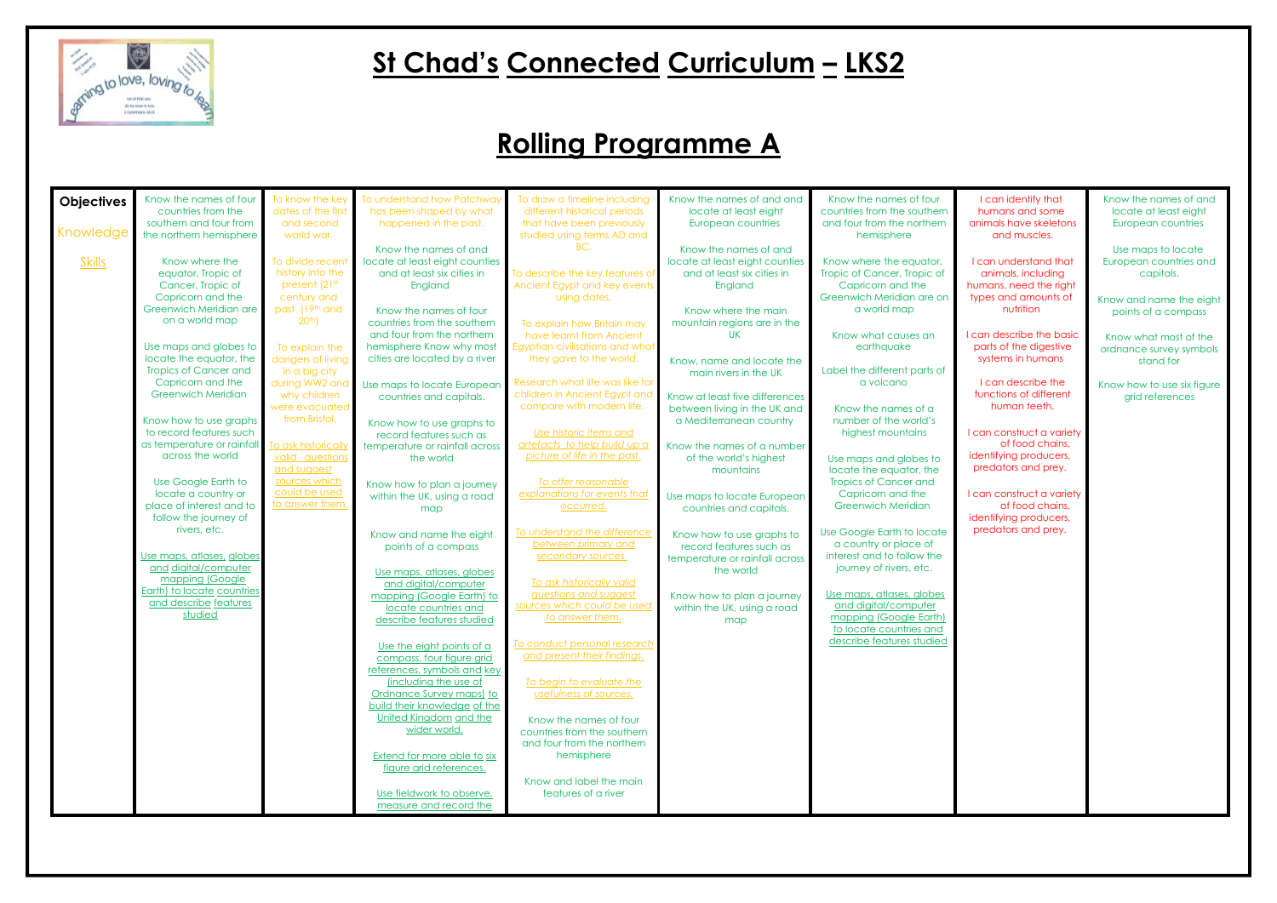

### **St Chad's Connected Curriculum – LKS2**

| <b>Objectives</b> | Know the names of four       | To know the key     | To understand how Patchway         | To draw a timeline including    | Know the names of and and      | Know the names of four       |
|-------------------|------------------------------|---------------------|------------------------------------|---------------------------------|--------------------------------|------------------------------|
|                   | countries from the           | dates of the first  | has been shaped by what            | different historical periods    | locate at least eight          | countries from the southern  |
|                   | southern and four from       | and second          | happened in the past.              | that have been previously       | European countries             | and four from the northern   |
| Knowledge         | the northern hemisphere      | world war.          |                                    | studied using terms AD and      |                                | hemisphere                   |
|                   |                              |                     | Know the names of and              | BC.                             | Know the names of and          |                              |
| <b>Skills</b>     | Know where the               | To divide recent    | locate at least eight counties     |                                 | locate at least eight counties | Know where the equator,      |
|                   | equator, Tropic of           | history into the    | and at least six cities in         | To describe the key features of | and at least six cities in     | Tropic of Cancer, Tropic of  |
|                   | Cancer, Tropic of            | present (21st       | England                            | Ancient Egypt and key events    | England                        | Capricorn and the            |
|                   | Capricorn and the            | century and         |                                    | using dates.                    |                                | Greenwich Meridian are on    |
|                   | Greenwich Meridian are       | past (19th and      | Know the names of four             |                                 | Know where the main            | a world map                  |
|                   | on a world map               | 20 <sup>th</sup>    | countries from the southern        | To explain how Britain may      | mountain regions are in the    |                              |
|                   |                              |                     | and four from the northern         | have learnt from Ancient        | <b>UK</b>                      | Know what causes an          |
|                   | Use maps and globes to       | To explain the      | hemisphere Know why most           | Egyptian civilisations and what |                                | earthquake                   |
|                   | locate the equator, the      | dangers of living   | cities are located by a river      | they gave to the world.         | Know, name and locate the      |                              |
|                   | <b>Tropics of Cancer and</b> | in a big city       |                                    |                                 | main rivers in the UK          | Label the different parts of |
|                   | Capricorn and the            | during WW2 and      | Use maps to locate European        | Research what life was like for |                                | a volcano                    |
|                   | <b>Greenwich Meridian</b>    | why children        | countries and capitals.            | children in Ancient Egypt and   | Know at least five differences |                              |
|                   |                              | were evacuated      |                                    | compare with modern life.       | between living in the UK and   | Know the names of a          |
|                   | Know how to use graphs       | from Bristol.       | Know how to use graphs to          |                                 | a Mediterranean country        | number of the world's        |
|                   | to record features such      |                     | record features such as            | Use historic items and          |                                | highest mountains            |
|                   | as temperature or rainfall   | To ask historically | temperature or rainfall across     | artefacts to help build up a    | Know the names of a number     |                              |
|                   | across the world             | valid questions     | the world                          | picture of life in the past.    | of the world's highest         | Use maps and globes to       |
|                   |                              | and suggest         |                                    |                                 | mountains                      | locate the equator, the      |
|                   | Use Google Earth to          | sources which       | Know how to plan a journey         | To offer reasonable             |                                | <b>Tropics of Cancer and</b> |
|                   | locate a country or          | could be used       | within the UK, using a road        | explanations for events that    | Use maps to locate European    | Capricorn and the            |
|                   | place of interest and to     | to answer them.     | map                                | occurred.                       | countries and capitals.        | <b>Greenwich Meridian</b>    |
|                   | follow the journey of        |                     |                                    |                                 |                                |                              |
|                   | rivers, etc.                 |                     | Know and name the eight            | To understand the difference    | Know how to use graphs to      | Use Google Earth to locate   |
|                   |                              |                     | points of a compass                | between primary and             | record features such as        | a country or place of        |
|                   | Use maps, atlases, globes    |                     |                                    | secondary sources.              | temperature or rainfall across | interest and to follow the   |
|                   | and digital/computer         |                     | Use maps, atlases, globes          |                                 | the world                      | journey of rivers, etc.      |
|                   | mapping (Google              |                     | and digital/computer               | To ask historically valid       |                                |                              |
|                   | Earth) to locate countries   |                     | mapping (Google Earth) to          | guestions and suggest           | Know how to plan a journey     | Use maps, atlases, globes    |
|                   | and describe features        |                     | locate countries and               | sources which could be used     | within the UK, using a road    | and digital/computer         |
|                   | studied                      |                     | describe features studied          | to answer them.                 | map                            | mapping (Google Earth)       |
|                   |                              |                     |                                    |                                 |                                | to locate countries and      |
|                   |                              |                     | Use the eight points of a          | To conduct personal research    |                                | describe features studied    |
|                   |                              |                     | compass, four figure grid          | and present their findings.     |                                |                              |
|                   |                              |                     | references, symbols and key        |                                 |                                |                              |
|                   |                              |                     | (including the use of              | To begin to evaluate the        |                                |                              |
|                   |                              |                     | Ordnance Survey maps) to           | usefulness of sources.          |                                |                              |
|                   |                              |                     | build their knowledge of the       |                                 |                                |                              |
|                   |                              |                     | United Kingdom and the             | Know the names of four          |                                |                              |
|                   |                              |                     | wider world.                       | countries from the southern     |                                |                              |
|                   |                              |                     |                                    | and four from the northern      |                                |                              |
|                   |                              |                     | <b>Extend for more able to six</b> | hemisphere                      |                                |                              |
|                   |                              |                     | figure grid references.            |                                 |                                |                              |
|                   |                              |                     |                                    | Know and label the main         |                                |                              |
|                   |                              |                     | Use fieldwork to observe,          | features of a river             |                                |                              |
|                   |                              |                     | measure and record the             |                                 |                                |                              |
|                   |                              |                     |                                    |                                 |                                |                              |

I can describe the basic parts of the digestive systems in humans

I can identify that humans and some animals have skeletons and muscles.

I can understand that animals, including humans, need the right types and amounts of nutrition

I can describe the functions of different human teeth.

I can construct a variety of food chains, identifying producers, predators and prey.

I can construct a variety of food chains, identifying producers, predators and prey.

Know the names of and locate at least eight European countries

Use maps to locate European countries and capitals.

Know and name the eight points of a compass

Know what most of the ordnance survey symbols stand for

Know how to use six figure grid references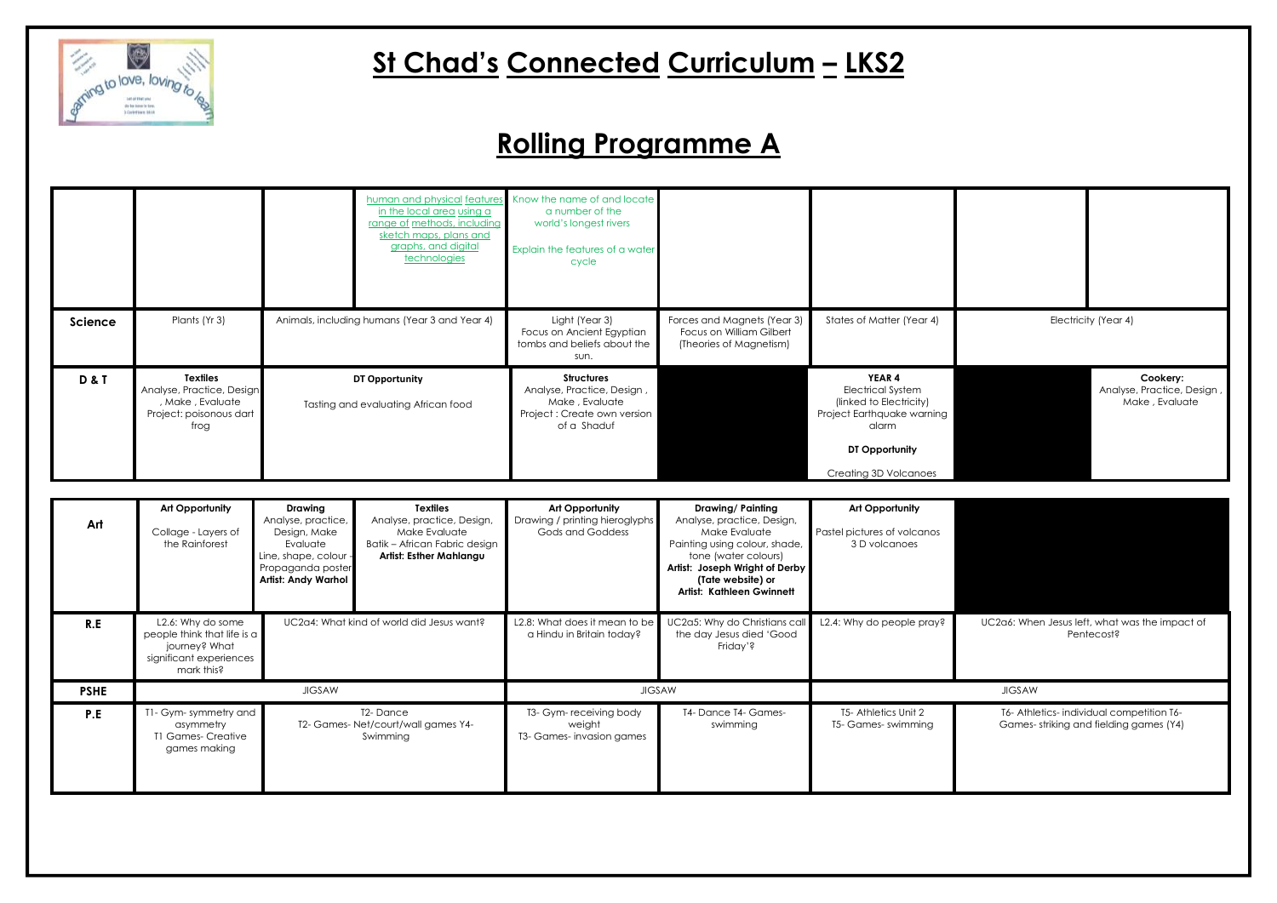

# **St Chad's Connected Curriculum – LKS2**

|                |                                                                                                     |                                                       | in the local area using a<br>range of methods, including<br>sketch maps, plans and<br>graphs, and digital<br>technologies | human and physical features Know the name of and locate<br>a number of the<br>world's longest rivers<br>Explain the features of a water<br>cycle |                                                                                    |                                                                                                                                                 |
|----------------|-----------------------------------------------------------------------------------------------------|-------------------------------------------------------|---------------------------------------------------------------------------------------------------------------------------|--------------------------------------------------------------------------------------------------------------------------------------------------|------------------------------------------------------------------------------------|-------------------------------------------------------------------------------------------------------------------------------------------------|
| <b>Science</b> | Plants (Yr 3)                                                                                       | Animals, including humans (Year 3 and Year 4)         |                                                                                                                           | Light (Year 3)<br>Focus on Ancient Egyptian<br>tombs and beliefs about the<br>sun.                                                               | Forces and Magnets (Year 3)<br>Focus on William Gilbert<br>(Theories of Magnetism) | States of Matter (Year 4)                                                                                                                       |
| <b>D&amp;T</b> | <b>Textiles</b><br>Analyse, Practice, Design<br>, Make, Evaluate<br>Project: poisonous dart<br>frog | DT Opportunity<br>Tasting and evaluating African food |                                                                                                                           | <b>Structures</b><br>Analyse, Practice, Design,<br>Make, Evaluate<br>Project: Create own version<br>of a Shaduf                                  |                                                                                    | YEAR 4<br>Electrical System<br>(linked to Electricity)<br>Project Earthquake warning<br>alarm<br>DT Opportunity<br><b>Creating 3D Volcanoes</b> |

**Cookery:** Analyse, Practice, Design , Make , Evaluate

UC2a6: When Jesus left, what was the impact of Pentecost?

| Art         | Art Opportunity<br>Collage - Layers of<br>the Rainforest                                                   | <b>Drawing</b><br>Analyse, practice,<br>Design, Make<br>Evaluate<br>Line, shape, colour -<br>Propaganda poster<br><b>Artist: Andy Warhol</b> | <b>Textiles</b><br>Analyse, practice, Design,<br>Make Evaluate<br>Batik - African Fabric design<br>Artist: Esther Mahlangu | Art Opportunity<br>Drawing / printing hieroglyphs<br>Gods and Goddess | <b>Drawing/Painting</b><br>Analyse, practice, Design,<br>Make Evaluate<br>Painting using colour, shade,<br>tone (water colours)<br>Artist: Joseph Wright of Derby<br>(Tate website) or<br><b>Artist: Kathleen Gwinnett</b> | <b>Art Opportunity</b><br>Pastel pictures of volcanos<br>3 D volcanoes |                     |
|-------------|------------------------------------------------------------------------------------------------------------|----------------------------------------------------------------------------------------------------------------------------------------------|----------------------------------------------------------------------------------------------------------------------------|-----------------------------------------------------------------------|----------------------------------------------------------------------------------------------------------------------------------------------------------------------------------------------------------------------------|------------------------------------------------------------------------|---------------------|
| R.E         | L2.6: Why do some<br>people think that life is a<br>journey? What<br>significant experiences<br>mark this? |                                                                                                                                              | UC2a4: What kind of world did Jesus want?                                                                                  | L2.8: What does it mean to be<br>a Hindu in Britain today?            | UC2a5: Why do Christians call<br>the day Jesus died 'Good<br>Friday'?                                                                                                                                                      | L2.4: Why do people pray?                                              | UC2a6: Whe          |
| <b>PSHE</b> | <b>JIGSAW</b>                                                                                              |                                                                                                                                              |                                                                                                                            | <b>JIGSAW</b>                                                         |                                                                                                                                                                                                                            | <b>JIGSAW</b>                                                          |                     |
| P.E         | T1- Gym- symmetry and<br>asymmetry<br><b>T1 Games- Creative</b><br>games making                            |                                                                                                                                              | T2-Dance<br>T2- Games- Net/court/wall games Y4-<br>Swimming                                                                | T3- Gym- receiving body<br>weight<br>T3- Games-invasion games         | T4- Dance T4- Games-<br>swimming                                                                                                                                                                                           | T5- Athletics Unit 2<br>T5- Games- swimming                            | T6- Athle<br>Games- |

Electricity (Year 4)

T6- Athletics- individual competition T6- Games- striking and fielding games (Y4)